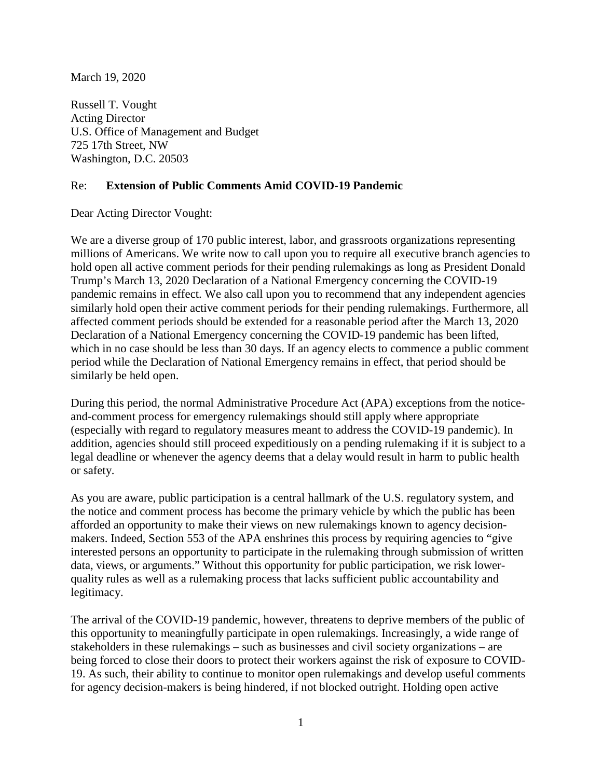March 19, 2020

Russell T. Vought Acting Director U.S. Office of Management and Budget 725 17th Street, NW Washington, D.C. 20503

## Re: **Extension of Public Comments Amid COVID-19 Pandemic**

Dear Acting Director Vought:

We are a diverse group of 170 public interest, labor, and grassroots organizations representing millions of Americans. We write now to call upon you to require all executive branch agencies to hold open all active comment periods for their pending rulemakings as long as President Donald Trump's March 13, 2020 Declaration of a National Emergency concerning the COVID-19 pandemic remains in effect. We also call upon you to recommend that any independent agencies similarly hold open their active comment periods for their pending rulemakings. Furthermore, all affected comment periods should be extended for a reasonable period after the March 13, 2020 Declaration of a National Emergency concerning the COVID-19 pandemic has been lifted, which in no case should be less than 30 days. If an agency elects to commence a public comment period while the Declaration of National Emergency remains in effect, that period should be similarly be held open.

During this period, the normal Administrative Procedure Act (APA) exceptions from the noticeand-comment process for emergency rulemakings should still apply where appropriate (especially with regard to regulatory measures meant to address the COVID-19 pandemic). In addition, agencies should still proceed expeditiously on a pending rulemaking if it is subject to a legal deadline or whenever the agency deems that a delay would result in harm to public health or safety.

As you are aware, public participation is a central hallmark of the U.S. regulatory system, and the notice and comment process has become the primary vehicle by which the public has been afforded an opportunity to make their views on new rulemakings known to agency decisionmakers. Indeed, Section 553 of the APA enshrines this process by requiring agencies to "give interested persons an opportunity to participate in the rulemaking through submission of written data, views, or arguments." Without this opportunity for public participation, we risk lowerquality rules as well as a rulemaking process that lacks sufficient public accountability and legitimacy.

The arrival of the COVID-19 pandemic, however, threatens to deprive members of the public of this opportunity to meaningfully participate in open rulemakings. Increasingly, a wide range of stakeholders in these rulemakings – such as businesses and civil society organizations – are being forced to close their doors to protect their workers against the risk of exposure to COVID-19. As such, their ability to continue to monitor open rulemakings and develop useful comments for agency decision-makers is being hindered, if not blocked outright. Holding open active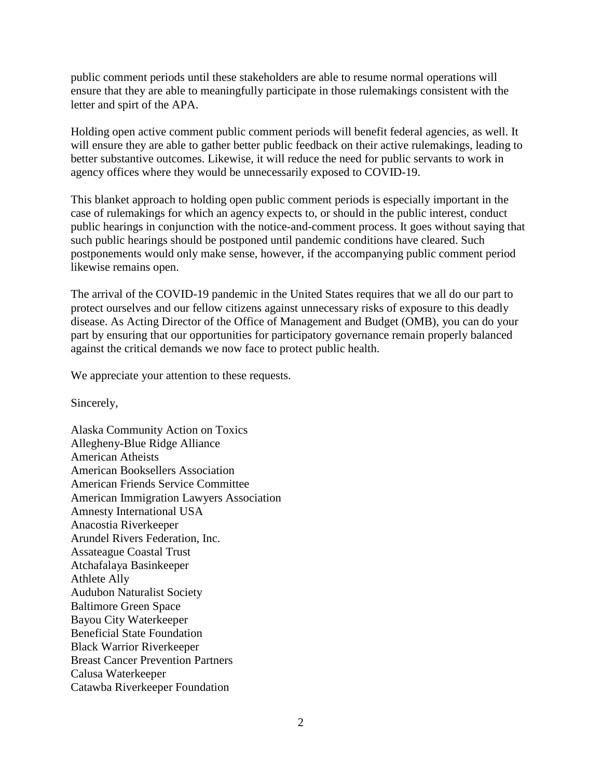public comment periods until these stakeholders are able to resume normal operations will ensure that they are able to meaningfully participate in those rulemakings consistent with the letter and spirt of the APA.

Holding open active comment public comment periods will benefit federal agencies, as well. It will ensure they are able to gather better public feedback on their active rulemakings, leading to better substantive outcomes. Likewise, it will reduce the need for public servants to work in agency offices where they would be unnecessarily exposed to COVID-19.

This blanket approach to holding open public comment periods is especially important in the case of rulemakings for which an agency expects to, or should in the public interest, conduct public hearings in conjunction with the notice-and-comment process. It goes without saying that such public hearings should be postponed until pandemic conditions have cleared. Such postponements would only make sense, however, if the accompanying public comment period likewise remains open.

The arrival of the COVID-19 pandemic in the United States requires that we all do our part to protect ourselves and our fellow citizens against unnecessary risks of exposure to this deadly disease. As Acting Director of the Office of Management and Budget (OMB), you can do your part by ensuring that our opportunities for participatory governance remain properly balanced against the critical demands we now face to protect public health.

We appreciate your attention to these requests.

Sincerely,

Alaska Community Action on Toxics Allegheny-Blue Ridge Alliance American Atheists American Booksellers Association American Friends Service Committee American Immigration Lawyers Association Amnesty International USA Anacostia Riverkeeper Arundel Rivers Federation, Inc. Assateague Coastal Trust Atchafalaya Basinkeeper Athlete Ally Audubon Naturalist Society Baltimore Green Space Bayou City Waterkeeper Beneficial State Foundation Black Warrior Riverkeeper Breast Cancer Prevention Partners Calusa Waterkeeper Catawba Riverkeeper Foundation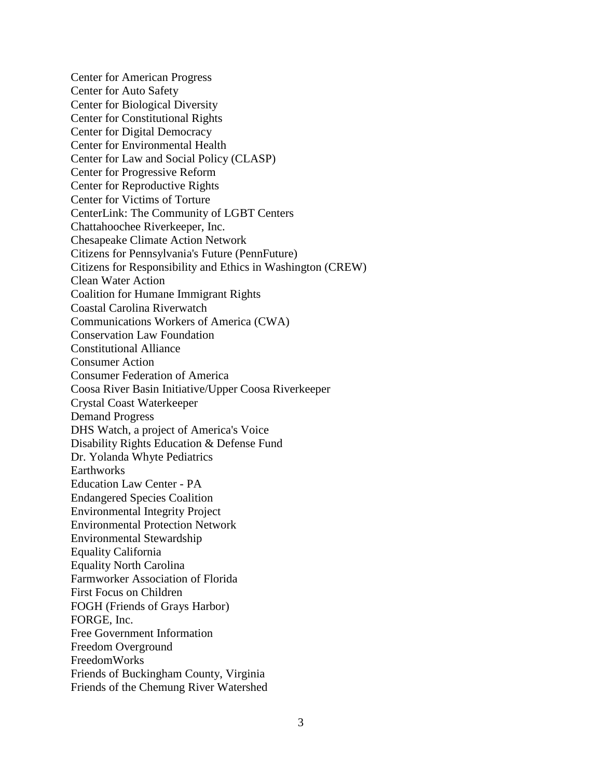Center for American Progress Center for Auto Safety Center for Biological Diversity Center for Constitutional Rights Center for Digital Democracy Center for Environmental Health Center for Law and Social Policy (CLASP) Center for Progressive Reform Center for Reproductive Rights Center for Victims of Torture CenterLink: The Community of LGBT Centers Chattahoochee Riverkeeper, Inc. Chesapeake Climate Action Network Citizens for Pennsylvania's Future (PennFuture) Citizens for Responsibility and Ethics in Washington (CREW) Clean Water Action Coalition for Humane Immigrant Rights Coastal Carolina Riverwatch Communications Workers of America (CWA) Conservation Law Foundation Constitutional Alliance Consumer Action Consumer Federation of America Coosa River Basin Initiative/Upper Coosa Riverkeeper Crystal Coast Waterkeeper Demand Progress DHS Watch, a project of America's Voice Disability Rights Education & Defense Fund Dr. Yolanda Whyte Pediatrics Earthworks Education Law Center - PA Endangered Species Coalition Environmental Integrity Project Environmental Protection Network Environmental Stewardship Equality California Equality North Carolina Farmworker Association of Florida First Focus on Children FOGH (Friends of Grays Harbor) FORGE, Inc. Free Government Information Freedom Overground FreedomWorks Friends of Buckingham County, Virginia Friends of the Chemung River Watershed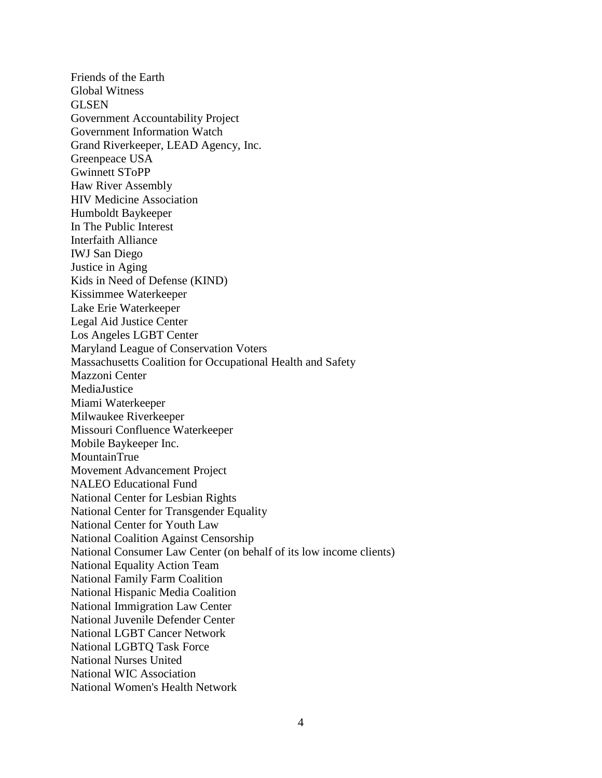Friends of the Earth Global Witness GLSEN Government Accountability Project Government Information Watch Grand Riverkeeper, LEAD Agency, Inc. Greenpeace USA Gwinnett SToPP Haw River Assembly HIV Medicine Association Humboldt Baykeeper In The Public Interest Interfaith Alliance IWJ San Diego Justice in Aging Kids in Need of Defense (KIND) Kissimmee Waterkeeper Lake Erie Waterkeeper Legal Aid Justice Center Los Angeles LGBT Center Maryland League of Conservation Voters Massachusetts Coalition for Occupational Health and Safety Mazzoni Center MediaJustice Miami Waterkeeper Milwaukee Riverkeeper Missouri Confluence Waterkeeper Mobile Baykeeper Inc. MountainTrue Movement Advancement Project NALEO Educational Fund National Center for Lesbian Rights National Center for Transgender Equality National Center for Youth Law National Coalition Against Censorship National Consumer Law Center (on behalf of its low income clients) National Equality Action Team National Family Farm Coalition National Hispanic Media Coalition National Immigration Law Center National Juvenile Defender Center National LGBT Cancer Network National LGBTQ Task Force National Nurses United National WIC Association National Women's Health Network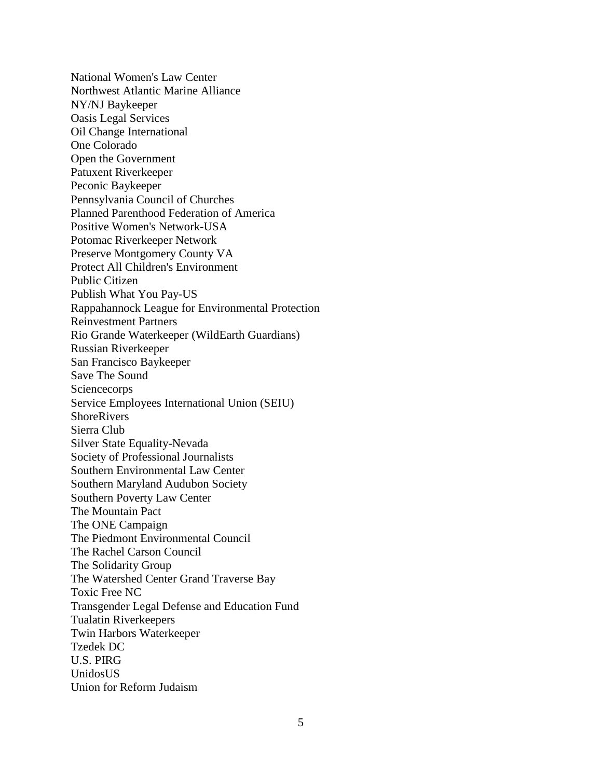National Women's Law Center Northwest Atlantic Marine Alliance NY/NJ Baykeeper Oasis Legal Services Oil Change International One Colorado Open the Government Patuxent Riverkeeper Peconic Baykeeper Pennsylvania Council of Churches Planned Parenthood Federation of America Positive Women's Network-USA Potomac Riverkeeper Network Preserve Montgomery County VA Protect All Children's Environment Public Citizen Publish What You Pay-US Rappahannock League for Environmental Protection Reinvestment Partners Rio Grande Waterkeeper (WildEarth Guardians) Russian Riverkeeper San Francisco Baykeeper Save The Sound **Sciencecorps** Service Employees International Union (SEIU) **ShoreRivers** Sierra Club Silver State Equality-Nevada Society of Professional Journalists Southern Environmental Law Center Southern Maryland Audubon Society Southern Poverty Law Center The Mountain Pact The ONE Campaign The Piedmont Environmental Council The Rachel Carson Council The Solidarity Group The Watershed Center Grand Traverse Bay Toxic Free NC Transgender Legal Defense and Education Fund Tualatin Riverkeepers Twin Harbors Waterkeeper Tzedek DC U.S. PIRG UnidosUS Union for Reform Judaism